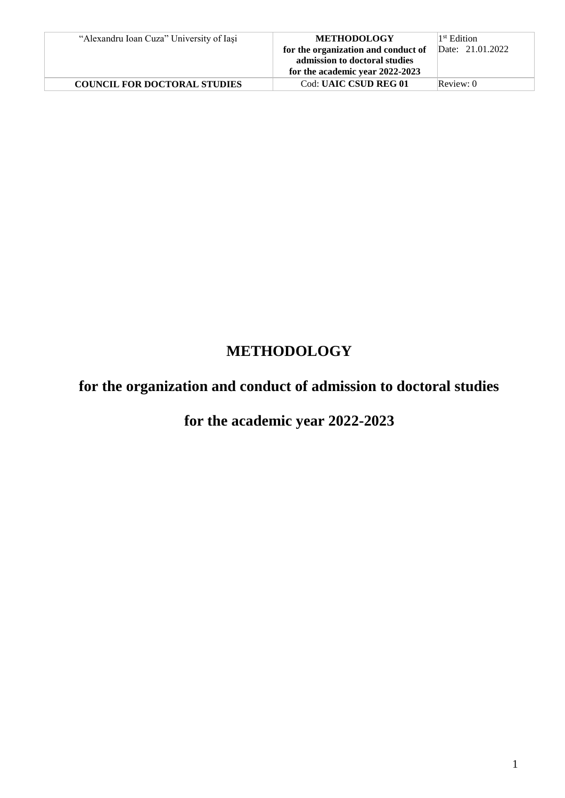| "Alexandru Ioan Cuza" University of Iasi | <b>METHODOLOGY</b><br>for the organization and conduct of<br>admission to doctoral studies<br>for the academic year 2022-2023 | 1 <sup>st</sup> Edition<br>Date: 21.01.2022 |
|------------------------------------------|-------------------------------------------------------------------------------------------------------------------------------|---------------------------------------------|
| <b>COUNCIL FOR DOCTORAL STUDIES</b>      | Cod: UAIC CSUD REG 01                                                                                                         | Review: 0                                   |

# **METHODOLOGY**

# **for the organization and conduct of admission to doctoral studies**

# **for the academic year 2022-2023**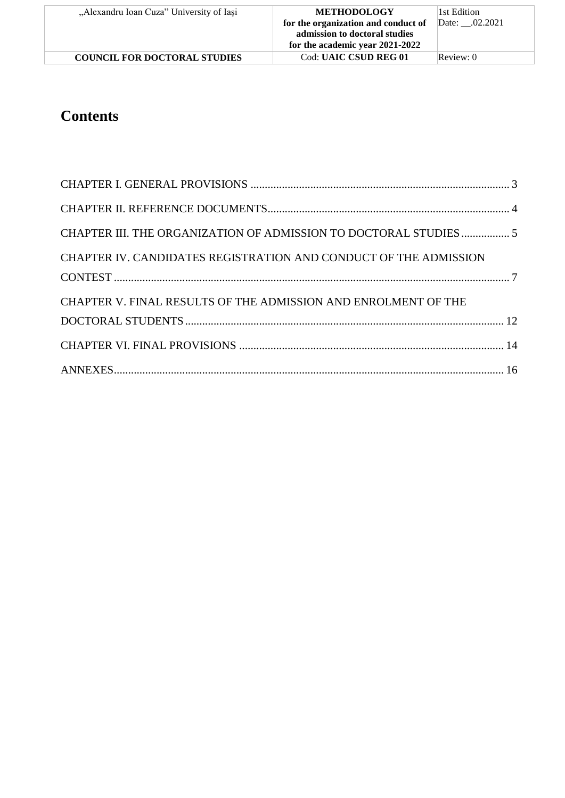| "Alexandru Ioan Cuza" University of Iasi | <b>METHODOLOGY</b>                  | 1st Edition    |
|------------------------------------------|-------------------------------------|----------------|
|                                          | for the organization and conduct of | Date: .02.2021 |
|                                          | admission to doctoral studies       |                |
|                                          | for the academic year 2021-2022     |                |
| <b>COUNCIL FOR DOCTORAL STUDIES</b>      | <b>Cod: UAIC CSUD REG 01</b>        | Review: 0      |

# **Contents**

| CHAPTER III. THE ORGANIZATION OF ADMISSION TO DOCTORAL STUDIES  5 |  |
|-------------------------------------------------------------------|--|
| CHAPTER IV. CANDIDATES REGISTRATION AND CONDUCT OF THE ADMISSION  |  |
| CHAPTER V. FINAL RESULTS OF THE ADMISSION AND ENROLMENT OF THE    |  |
|                                                                   |  |
|                                                                   |  |
|                                                                   |  |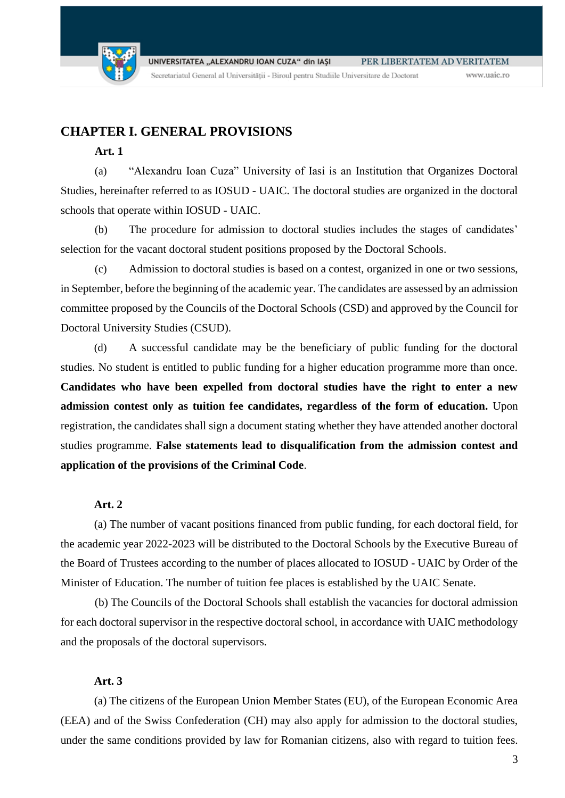

## <span id="page-2-0"></span>**CHAPTER I. GENERAL PROVISIONS**

### **Art. 1**

(a) "Alexandru Ioan Cuza" University of Iasi is an Institution that Organizes Doctoral Studies, hereinafter referred to as IOSUD - UAIC. The doctoral studies are organized in the doctoral schools that operate within IOSUD - UAIC.

(b) The procedure for admission to doctoral studies includes the stages of candidates' selection for the vacant doctoral student positions proposed by the Doctoral Schools.

(c) Admission to doctoral studies is based on a contest, organized in one or two sessions, in September, before the beginning of the academic year. The candidates are assessed by an admission committee proposed by the Councils of the Doctoral Schools (CSD) and approved by the Council for Doctoral University Studies (CSUD).

(d) A successful candidate may be the beneficiary of public funding for the doctoral studies. No student is entitled to public funding for a higher education programme more than once. **Candidates who have been expelled from doctoral studies have the right to enter a new admission contest only as tuition fee candidates, regardless of the form of education.** Upon registration, the candidates shall sign a document stating whether they have attended another doctoral studies programme. **False statements lead to disqualification from the admission contest and application of the provisions of the Criminal Code**.

### **Art. 2**

(a) The number of vacant positions financed from public funding, for each doctoral field, for the academic year 2022-2023 will be distributed to the Doctoral Schools by the Executive Bureau of the Board of Trustees according to the number of places allocated to IOSUD - UAIC by Order of the Minister of Education. The number of tuition fee places is established by the UAIC Senate.

(b) The Councils of the Doctoral Schools shall establish the vacancies for doctoral admission for each doctoral supervisor in the respective doctoral school, in accordance with UAIC methodology and the proposals of the doctoral supervisors.

### **Art. 3**

(a) The citizens of the European Union Member States (EU), of the European Economic Area (EEA) and of the Swiss Confederation (CH) may also apply for admission to the doctoral studies, under the same conditions provided by law for Romanian citizens, also with regard to tuition fees.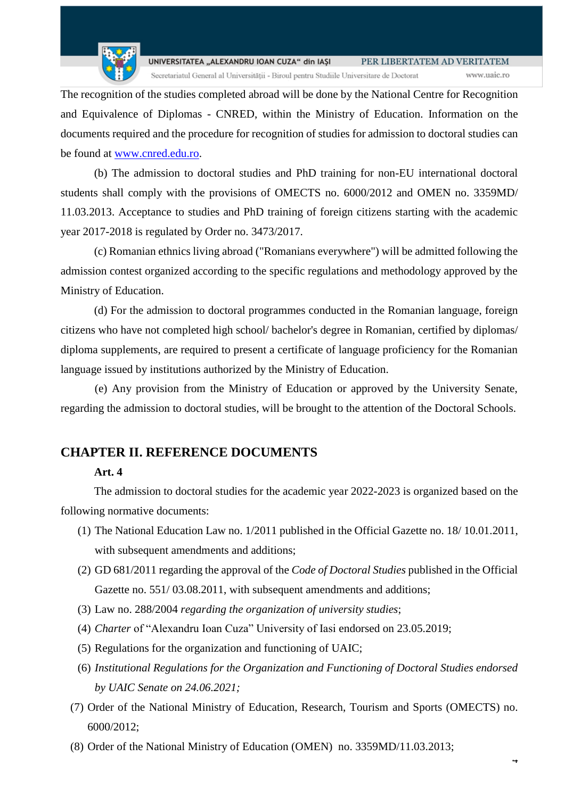

The recognition of the studies completed abroad will be done by the National Centre for Recognition and Equivalence of Diplomas - CNRED, within the Ministry of Education. Information on the documents required and the procedure for recognition of studies for admission to doctoral studies can be found at [www.cnred.edu.ro.](http://www.cnred.edu.ro/)

(b) The admission to doctoral studies and PhD training for non-EU international doctoral students shall comply with the provisions of OMECTS no. 6000/2012 and OMEN no. 3359MD/ 11.03.2013. Acceptance to studies and PhD training of foreign citizens starting with the academic year 2017-2018 is regulated by Order no. 3473/2017.

(c) Romanian ethnics living abroad ("Romanians everywhere") will be admitted following the admission contest organized according to the specific regulations and methodology approved by the Ministry of Education.

(d) For the admission to doctoral programmes conducted in the Romanian language, foreign citizens who have not completed high school/ bachelor's degree in Romanian, certified by diplomas/ diploma supplements, are required to present a certificate of language proficiency for the Romanian language issued by institutions authorized by the Ministry of Education.

(e) Any provision from the Ministry of Education or approved by the University Senate, regarding the admission to doctoral studies, will be brought to the attention of the Doctoral Schools.

## <span id="page-3-0"></span>**CHAPTER II. REFERENCE DOCUMENTS**

### **Art. 4**

The admission to doctoral studies for the academic year 2022-2023 is organized based on the following normative documents:

- (1) The National Education Law no. 1/2011 published in the Official Gazette no. 18/ 10.01.2011, with subsequent amendments and additions;
- (2) GD 681/2011 regarding the approval of the *Code of Doctoral Studies* published in the Official Gazette no. 551/ 03.08.2011, with subsequent amendments and additions;
- (3) Law no. 288/2004 *regarding the organization of university studies*;
- (4) *Charter* of "Alexandru Ioan Cuza" University of Iasi endorsed on 23.05.2019;
- (5) Regulations for the organization and functioning of UAIC;
- (6) *Institutional Regulations for the Organization and Functioning of Doctoral Studies endorsed by UAIC Senate on 24.06.2021;*
- (7) Order of the National Ministry of Education, Research, Tourism and Sports (OMECTS) no. 6000/2012;
- (8) Order of the National Ministry of Education (OMEN) no. 3359MD/11.03.2013;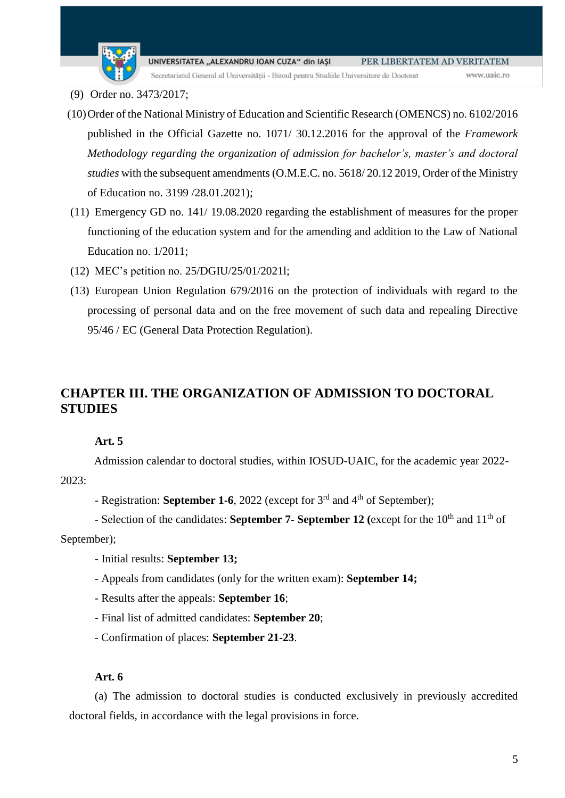

Secretariatul General al Universității - Biroul pentru Studiile Universitare de Doctorat

- (9) Order no. 3473/2017;
- (10)Order of the National Ministry of Education and Scientific Research (OMENCS) no. 6102/2016 published in the Official Gazette no. 1071/ 30.12.2016 for the approval of the *Framework Methodology regarding the organization of admission for bachelor's, master's and doctoral studies* with the subsequent amendments (O.M.E.C. no. 5618/ 20.12 2019, Order of the Ministry of Education no. 3199 /28.01.2021);
- (11) Emergency GD no. 141/ 19.08.2020 regarding the establishment of measures for the proper functioning of the education system and for the amending and addition to the Law of National Education no. 1/2011;
- (12) MEC's petition no. 25/DGIU/25/01/2021l;
- (13) European Union Regulation 679/2016 on the protection of individuals with regard to the processing of personal data and on the free movement of such data and repealing Directive 95/46 / EC (General Data Protection Regulation).

## <span id="page-4-0"></span>**CHAPTER III. THE ORGANIZATION OF ADMISSION TO DOCTORAL STUDIES**

### **Art. 5**

Admission calendar to doctoral studies, within IOSUD-UAIC, for the academic year 2022- 2023:

- Registration: **September 1-6**, 2022 (except for 3<sup>rd</sup> and 4<sup>th</sup> of September);

- Selection of the candidates: **September 7- September 12** (except for the 10<sup>th</sup> and 11<sup>th</sup> of September);

- Initial results: **September 13;**
- Appeals from candidates (only for the written exam): **September 14;**
- Results after the appeals: **September 16**;
- Final list of admitted candidates: **September 20**;
- Confirmation of places: **September 21-23**.

### **Art. 6**

(a) The admission to doctoral studies is conducted exclusively in previously accredited doctoral fields, in accordance with the legal provisions in force.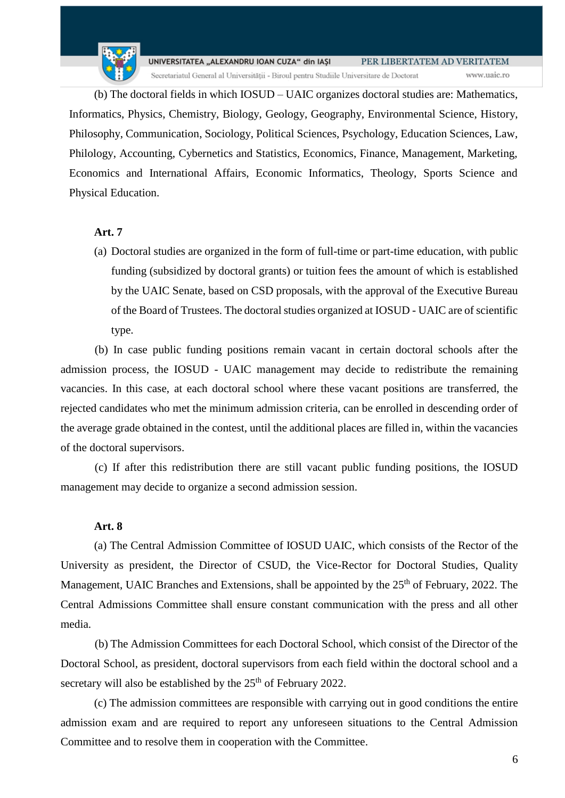(b) The doctoral fields in which IOSUD – UAIC organizes doctoral studies are: Mathematics, Informatics, Physics, Chemistry, Biology, Geology, Geography, Environmental Science, History, Philosophy, Communication, Sociology, Political Sciences, Psychology, Education Sciences, Law, Philology, Accounting, Cybernetics and Statistics, Economics, Finance, Management, Marketing, Economics and International Affairs, Economic Informatics, Theology, Sports Science and Physical Education.

### **Art. 7**

(a) Doctoral studies are organized in the form of full-time or part-time education, with public funding (subsidized by doctoral grants) or tuition fees the amount of which is established by the UAIC Senate, based on CSD proposals, with the approval of the Executive Bureau of the Board of Trustees. The doctoral studies organized at IOSUD - UAIC are of scientific type.

(b) In case public funding positions remain vacant in certain doctoral schools after the admission process, the IOSUD - UAIC management may decide to redistribute the remaining vacancies. In this case, at each doctoral school where these vacant positions are transferred, the rejected candidates who met the minimum admission criteria, can be enrolled in descending order of the average grade obtained in the contest, until the additional places are filled in, within the vacancies of the doctoral supervisors.

(c) If after this redistribution there are still vacant public funding positions, the IOSUD management may decide to organize a second admission session.

### **Art. 8**

(a) The Central Admission Committee of IOSUD UAIC, which consists of the Rector of the University as president, the Director of CSUD, the Vice-Rector for Doctoral Studies, Quality Management, UAIC Branches and Extensions, shall be appointed by the 25<sup>th</sup> of February, 2022. The Central Admissions Committee shall ensure constant communication with the press and all other media.

(b) The Admission Committees for each Doctoral School, which consist of the Director of the Doctoral School, as president, doctoral supervisors from each field within the doctoral school and a secretary will also be established by the  $25<sup>th</sup>$  of February 2022.

(c) The admission committees are responsible with carrying out in good conditions the entire admission exam and are required to report any unforeseen situations to the Central Admission Committee and to resolve them in cooperation with the Committee.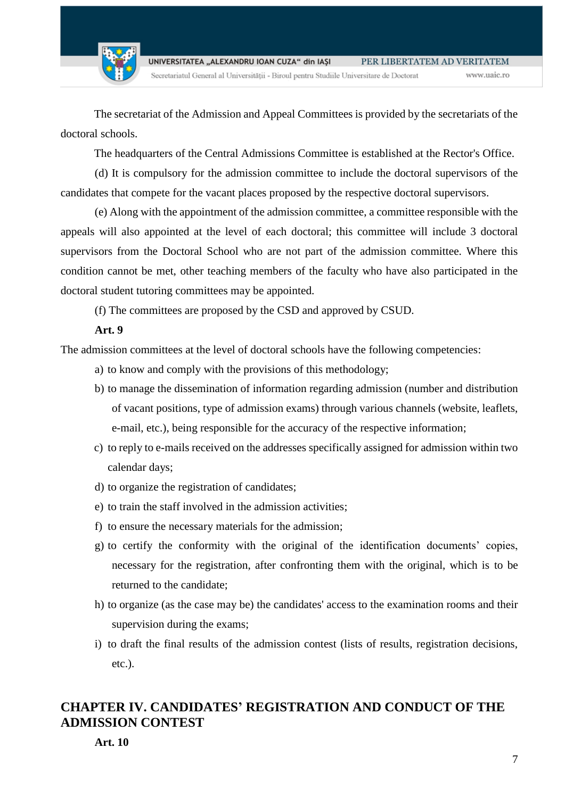Secretariatul General al Universității - Biroul pentru Studiile Universitare de Doctorat

The secretariat of the Admission and Appeal Committees is provided by the secretariats of the doctoral schools.

The headquarters of the Central Admissions Committee is established at the Rector's Office.

(d) It is compulsory for the admission committee to include the doctoral supervisors of the candidates that compete for the vacant places proposed by the respective doctoral supervisors.

(e) Along with the appointment of the admission committee, a committee responsible with the appeals will also appointed at the level of each doctoral; this committee will include 3 doctoral supervisors from the Doctoral School who are not part of the admission committee. Where this condition cannot be met, other teaching members of the faculty who have also participated in the doctoral student tutoring committees may be appointed.

(f) The committees are proposed by the CSD and approved by CSUD.

### **Art. 9**

The admission committees at the level of doctoral schools have the following competencies:

- a) to know and comply with the provisions of this methodology;
- b) to manage the dissemination of information regarding admission (number and distribution of vacant positions, type of admission exams) through various channels (website, leaflets, e-mail, etc.), being responsible for the accuracy of the respective information;
- c) to reply to e-mails received on the addresses specifically assigned for admission within two calendar days;
- d) to organize the registration of candidates;
- e) to train the staff involved in the admission activities;
- f) to ensure the necessary materials for the admission;
- g) to certify the conformity with the original of the identification documents' copies, necessary for the registration, after confronting them with the original, which is to be returned to the candidate;
- h) to organize (as the case may be) the candidates' access to the examination rooms and their supervision during the exams;
- i) to draft the final results of the admission contest (lists of results, registration decisions, etc.).

## <span id="page-6-0"></span>**CHAPTER IV. CANDIDATES' REGISTRATION AND CONDUCT OF THE ADMISSION CONTEST**

**Art. 10**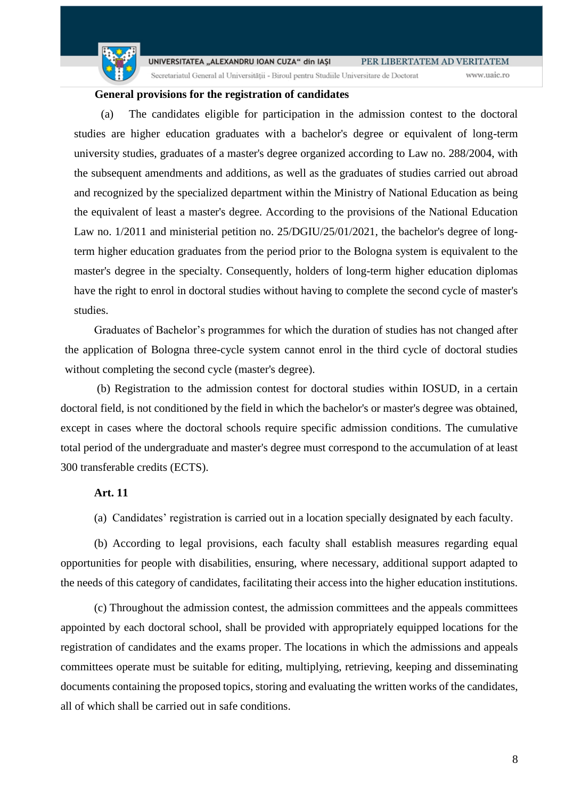

Secretariatul General al Universității - Biroul pentru Studiile Universitare de Doctorat

www.uaic.ro

### **General provisions for the registration of candidates**

(a) The candidates eligible for participation in the admission contest to the doctoral studies are higher education graduates with a bachelor's degree or equivalent of long-term university studies, graduates of a master's degree organized according to Law no. 288/2004, with the subsequent amendments and additions, as well as the graduates of studies carried out abroad and recognized by the specialized department within the Ministry of National Education as being the equivalent of least a master's degree. According to the provisions of the National Education Law no. 1/2011 and ministerial petition no. 25/DGIU/25/01/2021, the bachelor's degree of longterm higher education graduates from the period prior to the Bologna system is equivalent to the master's degree in the specialty. Consequently, holders of long-term higher education diplomas have the right to enrol in doctoral studies without having to complete the second cycle of master's studies.

Graduates of Bachelor's programmes for which the duration of studies has not changed after the application of Bologna three-cycle system cannot enrol in the third cycle of doctoral studies without completing the second cycle (master's degree).

(b) Registration to the admission contest for doctoral studies within IOSUD, in a certain doctoral field, is not conditioned by the field in which the bachelor's or master's degree was obtained, except in cases where the doctoral schools require specific admission conditions. The cumulative total period of the undergraduate and master's degree must correspond to the accumulation of at least 300 transferable credits (ECTS).

### **Art. 11**

(a) Candidates' registration is carried out in a location specially designated by each faculty.

(b) According to legal provisions, each faculty shall establish measures regarding equal opportunities for people with disabilities, ensuring, where necessary, additional support adapted to the needs of this category of candidates, facilitating their access into the higher education institutions.

(c) Throughout the admission contest, the admission committees and the appeals committees appointed by each doctoral school, shall be provided with appropriately equipped locations for the registration of candidates and the exams proper. The locations in which the admissions and appeals committees operate must be suitable for editing, multiplying, retrieving, keeping and disseminating documents containing the proposed topics, storing and evaluating the written works of the candidates, all of which shall be carried out in safe conditions.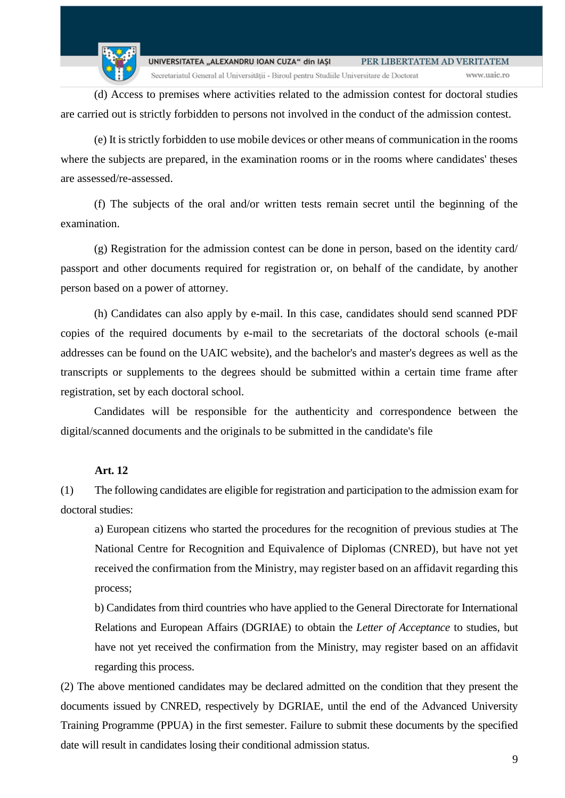www.uaic.ro

Secretariatul General al Universității - Biroul pentru Studiile Universitare de Doctorat

(d) Access to premises where activities related to the admission contest for doctoral studies are carried out is strictly forbidden to persons not involved in the conduct of the admission contest.

(e) It is strictly forbidden to use mobile devices or other means of communication in the rooms where the subjects are prepared, in the examination rooms or in the rooms where candidates' theses are assessed/re-assessed.

(f) The subjects of the oral and/or written tests remain secret until the beginning of the examination.

(g) Registration for the admission contest can be done in person, based on the identity card/ passport and other documents required for registration or, on behalf of the candidate, by another person based on a power of attorney.

(h) Candidates can also apply by e-mail. In this case, candidates should send scanned PDF copies of the required documents by e-mail to the secretariats of the doctoral schools (e-mail addresses can be found on the UAIC website), and the bachelor's and master's degrees as well as the transcripts or supplements to the degrees should be submitted within a certain time frame after registration, set by each doctoral school.

Candidates will be responsible for the authenticity and correspondence between the digital/scanned documents and the originals to be submitted in the candidate's file

### **Art. 12**

(1) The following candidates are eligible for registration and participation to the admission exam for doctoral studies:

a) European citizens who started the procedures for the recognition of previous studies at The National Centre for Recognition and Equivalence of Diplomas (CNRED), but have not yet received the confirmation from the Ministry, may register based on an affidavit regarding this process;

b) Candidates from third countries who have applied to the General Directorate for International Relations and European Affairs (DGRIAE) to obtain the *Letter of Acceptance* to studies, but have not yet received the confirmation from the Ministry, may register based on an affidavit regarding this process.

(2) The above mentioned candidates may be declared admitted on the condition that they present the documents issued by CNRED, respectively by DGRIAE, until the end of the Advanced University Training Programme (PPUA) in the first semester. Failure to submit these documents by the specified date will result in candidates losing their conditional admission status.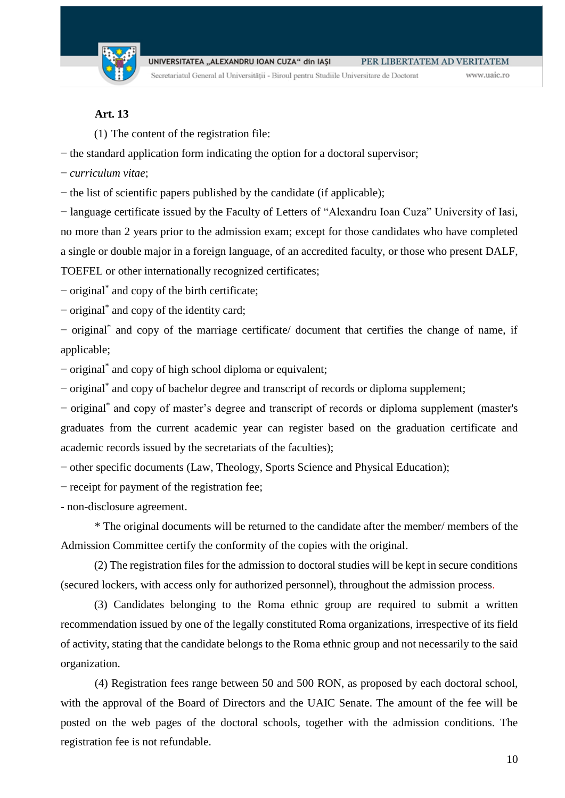

Secretariatul General al Universității - Biroul pentru Studiile Universitare de Doctorat

www.uaic.ro

### **Art. 13**

(1) The content of the registration file:

− the standard application form indicating the option for a doctoral supervisor;

− *curriculum vitae*;

− the list of scientific papers published by the candidate (if applicable);

− language certificate issued by the Faculty of Letters of "Alexandru Ioan Cuza" University of Iasi, no more than 2 years prior to the admission exam; except for those candidates who have completed a single or double major in a foreign language, of an accredited faculty, or those who present DALF, TOEFEL or other internationally recognized certificates;

− original\* and copy of the birth certificate;

− original\* and copy of the identity card;

− original\* and copy of the marriage certificate/ document that certifies the change of name, if applicable;

− original\* and copy of high school diploma or equivalent;

− original\* and copy of bachelor degree and transcript of records or diploma supplement;

− original\* and copy of master's degree and transcript of records or diploma supplement (master's graduates from the current academic year can register based on the graduation certificate and academic records issued by the secretariats of the faculties);

− other specific documents (Law, Theology, Sports Science and Physical Education);

− receipt for payment of the registration fee;

- non-disclosure agreement.

\* The original documents will be returned to the candidate after the member/ members of the Admission Committee certify the conformity of the copies with the original.

(2) The registration files for the admission to doctoral studies will be kept in secure conditions (secured lockers, with access only for authorized personnel), throughout the admission process.

(3) Candidates belonging to the Roma ethnic group are required to submit a written recommendation issued by one of the legally constituted Roma organizations, irrespective of its field of activity, stating that the candidate belongs to the Roma ethnic group and not necessarily to the said organization.

(4) Registration fees range between 50 and 500 RON, as proposed by each doctoral school, with the approval of the Board of Directors and the UAIC Senate. The amount of the fee will be posted on the web pages of the doctoral schools, together with the admission conditions. The registration fee is not refundable.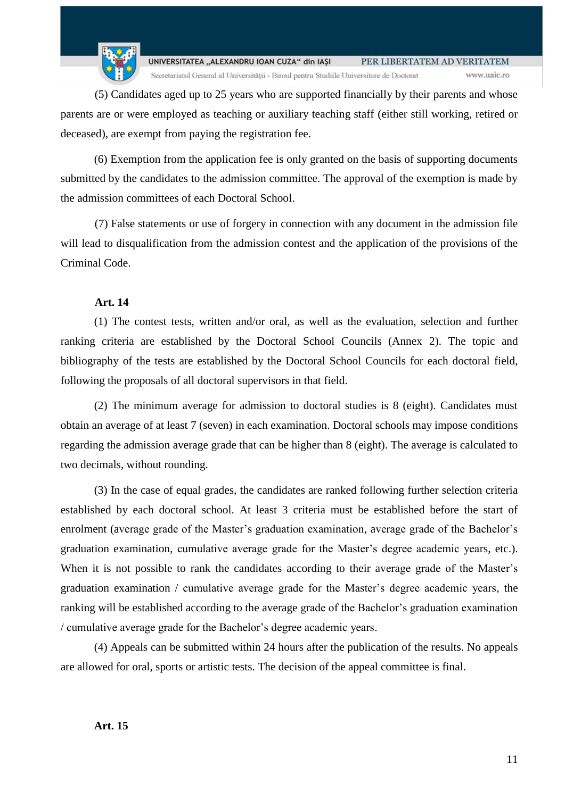

(5) Candidates aged up to 25 years who are supported financially by their parents and whose parents are or were employed as teaching or auxiliary teaching staff (either still working, retired or deceased), are exempt from paying the registration fee.

(6) Exemption from the application fee is only granted on the basis of supporting documents submitted by the candidates to the admission committee. The approval of the exemption is made by the admission committees of each Doctoral School.

(7) False statements or use of forgery in connection with any document in the admission file will lead to disqualification from the admission contest and the application of the provisions of the Criminal Code.

### **Art. 14**

(1) The contest tests, written and/or oral, as well as the evaluation, selection and further ranking criteria are established by the Doctoral School Councils (Annex 2). The topic and bibliography of the tests are established by the Doctoral School Councils for each doctoral field, following the proposals of all doctoral supervisors in that field.

(2) The minimum average for admission to doctoral studies is 8 (eight). Candidates must obtain an average of at least 7 (seven) in each examination. Doctoral schools may impose conditions regarding the admission average grade that can be higher than 8 (eight). The average is calculated to two decimals, without rounding.

(3) In the case of equal grades, the candidates are ranked following further selection criteria established by each doctoral school. At least 3 criteria must be established before the start of enrolment (average grade of the Master's graduation examination, average grade of the Bachelor's graduation examination, cumulative average grade for the Master's degree academic years, etc.). When it is not possible to rank the candidates according to their average grade of the Master's graduation examination / cumulative average grade for the Master's degree academic years, the ranking will be established according to the average grade of the Bachelor's graduation examination / cumulative average grade for the Bachelor's degree academic years.

(4) Appeals can be submitted within 24 hours after the publication of the results. No appeals are allowed for oral, sports or artistic tests. The decision of the appeal committee is final.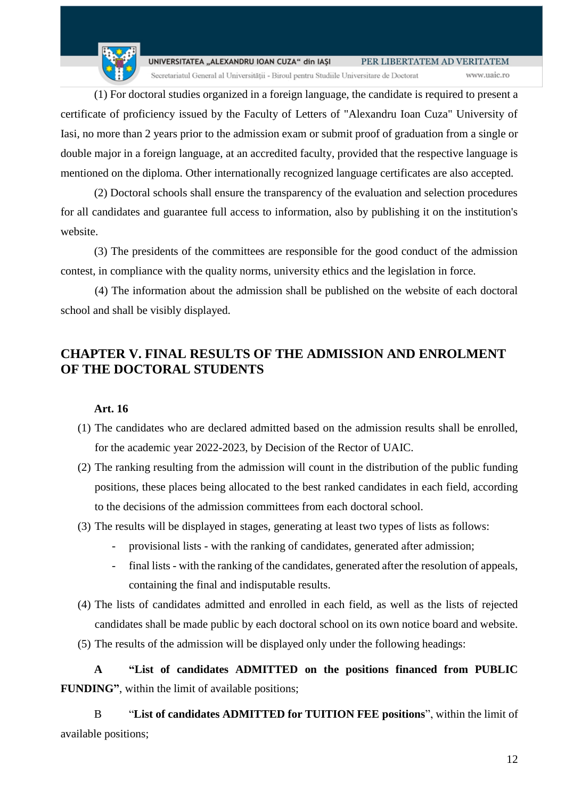www.uaic.ro

Secretariatul General al Universității - Biroul pentru Studiile Universitare de Doctorat

(1) For doctoral studies organized in a foreign language, the candidate is required to present a certificate of proficiency issued by the Faculty of Letters of "Alexandru Ioan Cuza" University of Iasi, no more than 2 years prior to the admission exam or submit proof of graduation from a single or double major in a foreign language, at an accredited faculty, provided that the respective language is mentioned on the diploma. Other internationally recognized language certificates are also accepted.

(2) Doctoral schools shall ensure the transparency of the evaluation and selection procedures for all candidates and guarantee full access to information, also by publishing it on the institution's website.

(3) The presidents of the committees are responsible for the good conduct of the admission contest, in compliance with the quality norms, university ethics and the legislation in force.

(4) The information about the admission shall be published on the website of each doctoral school and shall be visibly displayed.

## <span id="page-11-0"></span>**CHAPTER V. FINAL RESULTS OF THE ADMISSION AND ENROLMENT OF THE DOCTORAL STUDENTS**

### **Art. 16**

- (1) The candidates who are declared admitted based on the admission results shall be enrolled, for the academic year 2022-2023, by Decision of the Rector of UAIC.
- (2) The ranking resulting from the admission will count in the distribution of the public funding positions, these places being allocated to the best ranked candidates in each field, according to the decisions of the admission committees from each doctoral school.
- (3) The results will be displayed in stages, generating at least two types of lists as follows:
	- provisional lists with the ranking of candidates, generated after admission;
	- final lists with the ranking of the candidates, generated after the resolution of appeals, containing the final and indisputable results.
- (4) The lists of candidates admitted and enrolled in each field, as well as the lists of rejected candidates shall be made public by each doctoral school on its own notice board and website.
- (5) The results of the admission will be displayed only under the following headings:

**A "List of candidates ADMITTED on the positions financed from PUBLIC FUNDING"**, within the limit of available positions;

B "**List of candidates ADMITTED for TUITION FEE positions**", within the limit of available positions;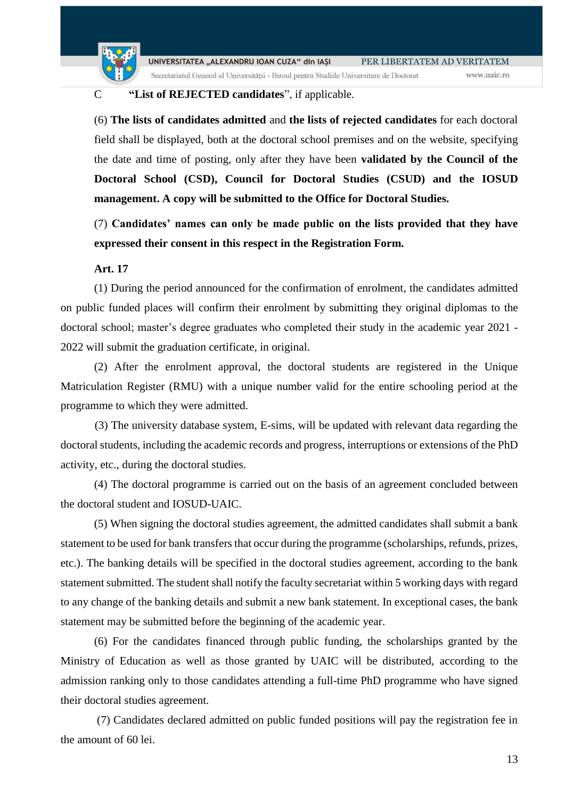

Secretariatul General al Universității - Biroul pentru Studiile Universitare de Doctorat

#### www.uaic.ro

### C **"List of REJECTED candidates**", if applicable.

(6) **The lists of candidates admitted** and **the lists of rejected candidates** for each doctoral field shall be displayed, both at the doctoral school premises and on the website, specifying the date and time of posting, only after they have been **validated by the Council of the Doctoral School (CSD), Council for Doctoral Studies (CSUD) and the IOSUD management. A copy will be submitted to the Office for Doctoral Studies.** 

(7) **Candidates' names can only be made public on the lists provided that they have expressed their consent in this respect in the Registration Form.**

### **Art. 17**

(1) During the period announced for the confirmation of enrolment, the candidates admitted on public funded places will confirm their enrolment by submitting they original diplomas to the doctoral school; master's degree graduates who completed their study in the academic year 2021 - 2022 will submit the graduation certificate, in original.

(2) After the enrolment approval, the doctoral students are registered in the Unique Matriculation Register (RMU) with a unique number valid for the entire schooling period at the programme to which they were admitted.

(3) The university database system, E-sims, will be updated with relevant data regarding the doctoral students, including the academic records and progress, interruptions or extensions of the PhD activity, etc., during the doctoral studies.

(4) The doctoral programme is carried out on the basis of an agreement concluded between the doctoral student and IOSUD-UAIC.

(5) When signing the doctoral studies agreement, the admitted candidates shall submit a bank statement to be used for bank transfers that occur during the programme (scholarships, refunds, prizes, etc.). The banking details will be specified in the doctoral studies agreement, according to the bank statement submitted. The student shall notify the faculty secretariat within 5 working days with regard to any change of the banking details and submit a new bank statement. In exceptional cases, the bank statement may be submitted before the beginning of the academic year.

(6) For the candidates financed through public funding, the scholarships granted by the Ministry of Education as well as those granted by UAIC will be distributed, according to the admission ranking only to those candidates attending a full-time PhD programme who have signed their doctoral studies agreement.

(7) Candidates declared admitted on public funded positions will pay the registration fee in the amount of 60 lei.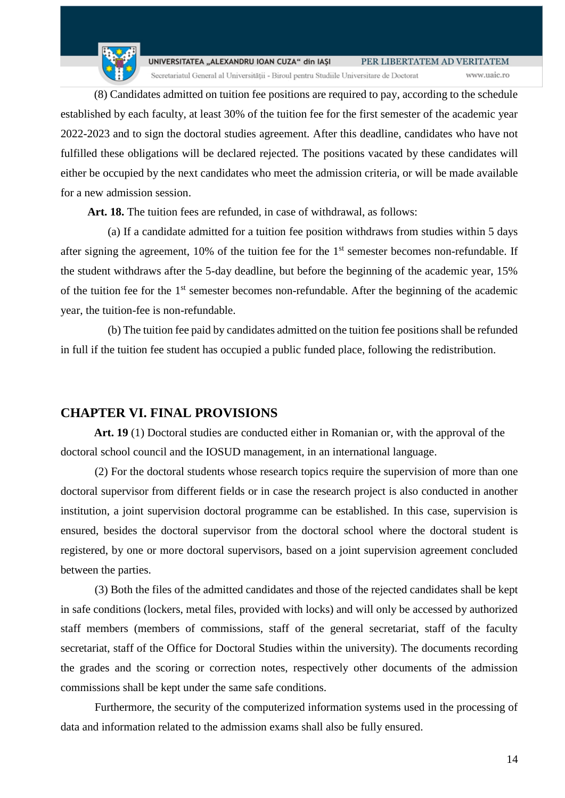

(8) Candidates admitted on tuition fee positions are required to pay, according to the schedule established by each faculty, at least 30% of the tuition fee for the first semester of the academic year 2022-2023 and to sign the doctoral studies agreement. After this deadline, candidates who have not fulfilled these obligations will be declared rejected. The positions vacated by these candidates will either be occupied by the next candidates who meet the admission criteria, or will be made available for a new admission session.

Art. 18. The tuition fees are refunded, in case of withdrawal, as follows:

(a) If a candidate admitted for a tuition fee position withdraws from studies within 5 days after signing the agreement, 10% of the tuition fee for the  $1<sup>st</sup>$  semester becomes non-refundable. If the student withdraws after the 5-day deadline, but before the beginning of the academic year, 15% of the tuition fee for the  $1<sup>st</sup>$  semester becomes non-refundable. After the beginning of the academic year, the tuition-fee is non-refundable.

(b) The tuition fee paid by candidates admitted on the tuition fee positions shall be refunded in full if the tuition fee student has occupied a public funded place, following the redistribution.

## <span id="page-13-0"></span>**CHAPTER VI. FINAL PROVISIONS**

**Art. 19** (1) Doctoral studies are conducted either in Romanian or, with the approval of the doctoral school council and the IOSUD management, in an international language.

(2) For the doctoral students whose research topics require the supervision of more than one doctoral supervisor from different fields or in case the research project is also conducted in another institution, a joint supervision doctoral programme can be established. In this case, supervision is ensured, besides the doctoral supervisor from the doctoral school where the doctoral student is registered, by one or more doctoral supervisors, based on a joint supervision agreement concluded between the parties.

(3) Both the files of the admitted candidates and those of the rejected candidates shall be kept in safe conditions (lockers, metal files, provided with locks) and will only be accessed by authorized staff members (members of commissions, staff of the general secretariat, staff of the faculty secretariat, staff of the Office for Doctoral Studies within the university). The documents recording the grades and the scoring or correction notes, respectively other documents of the admission commissions shall be kept under the same safe conditions.

Furthermore, the security of the computerized information systems used in the processing of data and information related to the admission exams shall also be fully ensured.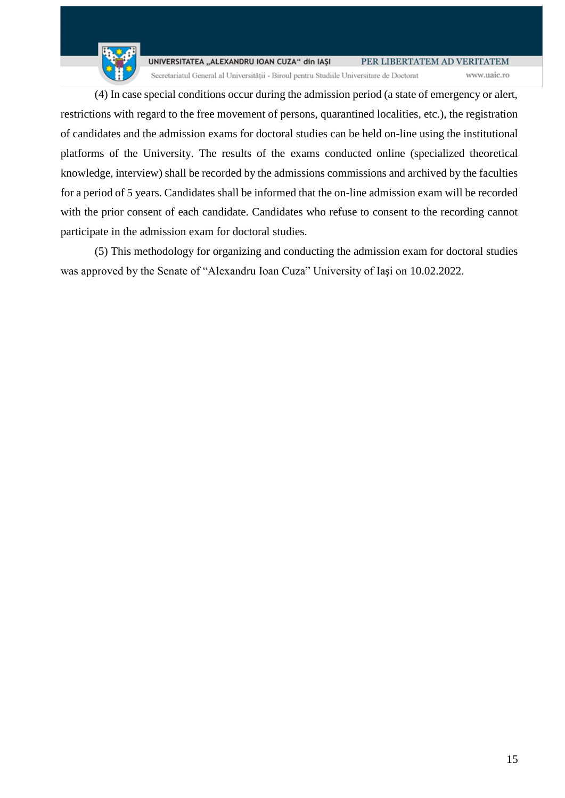www.uaic.ro

Secretariatul General al Universității - Biroul pentru Studiile Universitare de Doctorat

(4) In case special conditions occur during the admission period (a state of emergency or alert, restrictions with regard to the free movement of persons, quarantined localities, etc.), the registration of candidates and the admission exams for doctoral studies can be held on-line using the institutional platforms of the University. The results of the exams conducted online (specialized theoretical knowledge, interview) shall be recorded by the admissions commissions and archived by the faculties for a period of 5 years. Candidates shall be informed that the on-line admission exam will be recorded with the prior consent of each candidate. Candidates who refuse to consent to the recording cannot participate in the admission exam for doctoral studies.

(5) This methodology for organizing and conducting the admission exam for doctoral studies was approved by the Senate of "Alexandru Ioan Cuza" University of Iaşi on 10.02.2022.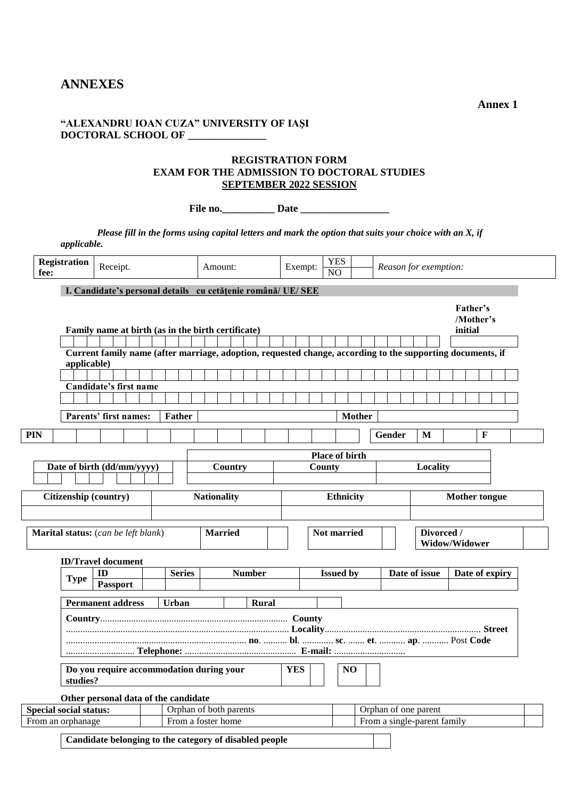### <span id="page-15-0"></span>**ANNEXES**

**"ALEXANDRU IOAN CUZA" UNIVERSITY OF IAŞI DOCTORAL SCHOOL OF \_\_\_\_\_\_\_\_\_\_\_\_\_\_\_**

### **REGISTRATION FORM EXAM FOR THE ADMISSION TO DOCTORAL STUDIES SEPTEMBER 2022 SESSION**

**File no.\_\_\_\_\_\_\_\_\_\_ Date \_\_\_\_\_\_\_\_\_\_\_\_\_\_\_\_\_**

*Please fill in the forms using capital letters and mark the option that suits your choice with an X, if applicable.*

| fee:                                                                     | <b>Registration</b>                                                                  | Receipt.                                                                                                   |  |                        | Amount:                                    |  |                                             |  | Exempt: |  | <b>YES</b><br>$\overline{NO}$ |                      |  |        | Reason for exemption:       |         |                |  |
|--------------------------------------------------------------------------|--------------------------------------------------------------------------------------|------------------------------------------------------------------------------------------------------------|--|------------------------|--------------------------------------------|--|---------------------------------------------|--|---------|--|-------------------------------|----------------------|--|--------|-----------------------------|---------|----------------|--|
| I. Candidate's personal details cu cetățenie română/ UE/ SEE<br>Father's |                                                                                      |                                                                                                            |  |                        |                                            |  |                                             |  |         |  |                               |                      |  |        |                             |         |                |  |
|                                                                          |                                                                                      | Family name at birth (as in the birth certificate)                                                         |  |                        |                                            |  |                                             |  |         |  |                               |                      |  |        |                             | initial | /Mother's      |  |
|                                                                          | applicable)                                                                          | Current family name (after marriage, adoption, requested change, according to the supporting documents, if |  |                        |                                            |  |                                             |  |         |  |                               |                      |  |        |                             |         |                |  |
|                                                                          |                                                                                      | Candidate's first name                                                                                     |  |                        |                                            |  |                                             |  |         |  |                               |                      |  |        |                             |         |                |  |
|                                                                          |                                                                                      | Parents' first names:                                                                                      |  | <b>Father</b>          |                                            |  |                                             |  |         |  |                               | <b>Mother</b>        |  |        |                             |         |                |  |
| <b>PIN</b>                                                               |                                                                                      |                                                                                                            |  |                        |                                            |  |                                             |  |         |  |                               |                      |  | Gender | M                           |         | $\mathbf F$    |  |
|                                                                          | Date of birth (dd/mm/yyyy)<br>Country                                                |                                                                                                            |  |                        |                                            |  | <b>Place of birth</b><br>Locality<br>County |  |         |  |                               |                      |  |        |                             |         |                |  |
|                                                                          | Citizenship (country)<br><b>Nationality</b>                                          |                                                                                                            |  |                        |                                            |  | <b>Ethnicity</b>                            |  |         |  |                               | <b>Mother tongue</b> |  |        |                             |         |                |  |
|                                                                          | Marital status: (can be left blank)<br><b>Married</b>                                |                                                                                                            |  |                        | Divorced /<br>Not married<br>Widow/Widower |  |                                             |  |         |  |                               |                      |  |        |                             |         |                |  |
|                                                                          | <b>Type</b>                                                                          | <b>ID/Travel document</b><br>ID<br>Passport                                                                |  | <b>Series</b>          |                                            |  | <b>Number</b>                               |  |         |  | <b>Issued by</b>              |                      |  |        | Date of issue               |         | Date of expiry |  |
|                                                                          |                                                                                      | <b>Permanent address</b>                                                                                   |  | <b>Urban</b>           |                                            |  | Rural                                       |  |         |  |                               |                      |  |        |                             |         |                |  |
|                                                                          |                                                                                      |                                                                                                            |  |                        |                                            |  |                                             |  |         |  |                               |                      |  |        |                             |         |                |  |
|                                                                          | Do you require accommodation during your<br><b>YES</b><br>N <sub>O</sub><br>studies? |                                                                                                            |  |                        |                                            |  |                                             |  |         |  |                               |                      |  |        |                             |         |                |  |
|                                                                          | <b>Special social status:</b>                                                        | Other personal data of the candidate                                                                       |  | Orphan of both parents |                                            |  |                                             |  |         |  |                               |                      |  |        | Orphan of one parent        |         |                |  |
|                                                                          | From an orphanage                                                                    |                                                                                                            |  | From a foster home     |                                            |  |                                             |  |         |  |                               |                      |  |        | From a single-parent family |         |                |  |
|                                                                          | Candidate belonging to the category of disabled people                               |                                                                                                            |  |                        |                                            |  |                                             |  |         |  |                               |                      |  |        |                             |         |                |  |

**Annex 1**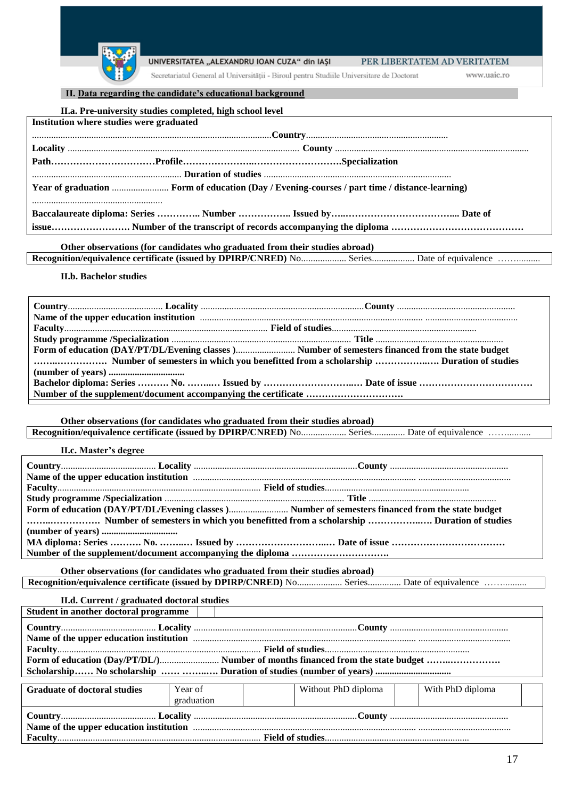

Secretariatul General al Universității - Biroul pentru Studiile Universitare de Doctorat

www.uaic.ro

#### **II. Data regarding the candidate's educational background**

| II.a. Pre-university studies completed, high school level                                                                                                                                                                            |  |  |  |  |  |
|--------------------------------------------------------------------------------------------------------------------------------------------------------------------------------------------------------------------------------------|--|--|--|--|--|
| Institution where studies were graduated                                                                                                                                                                                             |  |  |  |  |  |
|                                                                                                                                                                                                                                      |  |  |  |  |  |
|                                                                                                                                                                                                                                      |  |  |  |  |  |
|                                                                                                                                                                                                                                      |  |  |  |  |  |
| <u>lacent materials and the set of studies and continuous control of studies and continuous control of studies and continuous control of studies and continuous control of studies and continuous control of the set of the set </u> |  |  |  |  |  |
|                                                                                                                                                                                                                                      |  |  |  |  |  |
|                                                                                                                                                                                                                                      |  |  |  |  |  |
|                                                                                                                                                                                                                                      |  |  |  |  |  |
|                                                                                                                                                                                                                                      |  |  |  |  |  |

#### **Other observations (for candidates who graduated from their studies abroad)** Recognition/equivalence certificate (issued by DPIRP/CNRED) No.................... Series................... Date of equivalence ................

#### **II.b. Bachelor studies**

**Other observations (for candidates who graduated from their studies abroad) Recognition/equivalence certificate (issued by DPIRP/CNRED)** No................... Series.............. Date of equivalence ……..........

**II.c. Master's degree**

|  | Number of semesters in which you benefitted from a scholarship  Duration of studies |  |
|--|-------------------------------------------------------------------------------------|--|
|  |                                                                                     |  |
|  |                                                                                     |  |
|  |                                                                                     |  |

**Other observations (for candidates who graduated from their studies abroad)** Recognition/equivalence certificate (issued by DPIRP/CNRED) No................... Series................ Date of equivalence ..............

**II.d. Current / graduated doctoral studies Student in another doctoral programme**

| $\beta$ or a subset of the set of $\alpha$ is a set of $\alpha$ is a set of $\alpha$ is a set of $\alpha$ is a set of $\alpha$ is a set of $\alpha$ is a set of $\alpha$ is a set of $\alpha$ is a set of $\alpha$ is a set of $\alpha$ is a set of $\alpha$ is a set of $\alpha$ |  |  |  |  |  |  |  |  |
|-----------------------------------------------------------------------------------------------------------------------------------------------------------------------------------------------------------------------------------------------------------------------------------|--|--|--|--|--|--|--|--|
|                                                                                                                                                                                                                                                                                   |  |  |  |  |  |  |  |  |
|                                                                                                                                                                                                                                                                                   |  |  |  |  |  |  |  |  |
|                                                                                                                                                                                                                                                                                   |  |  |  |  |  |  |  |  |
|                                                                                                                                                                                                                                                                                   |  |  |  |  |  |  |  |  |
|                                                                                                                                                                                                                                                                                   |  |  |  |  |  |  |  |  |
|                                                                                                                                                                                                                                                                                   |  |  |  |  |  |  |  |  |

| <b>Graduate of doctoral studies</b> | Year of<br>graduation | Without PhD diploma | With PhD diploma |  |  |  |  |  |
|-------------------------------------|-----------------------|---------------------|------------------|--|--|--|--|--|
|                                     |                       |                     |                  |  |  |  |  |  |
|                                     |                       |                     |                  |  |  |  |  |  |
|                                     |                       |                     |                  |  |  |  |  |  |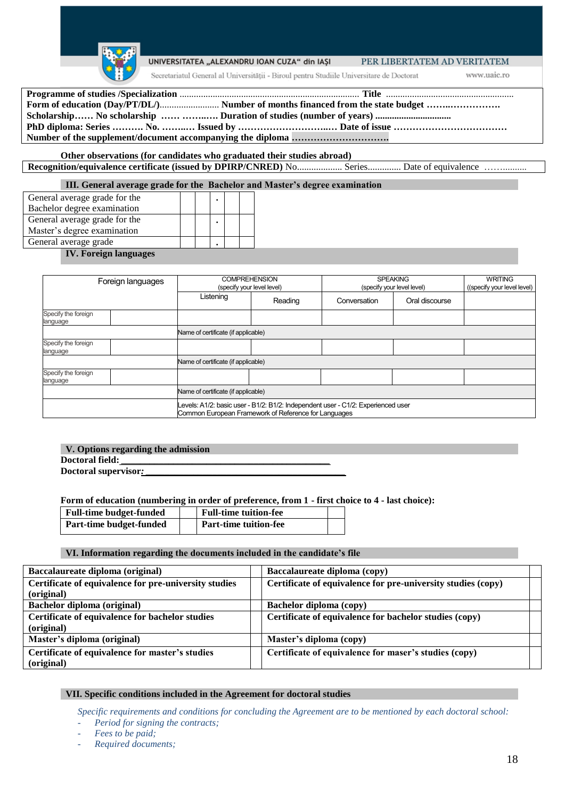

#### UNIVERSITATEA "ALEXANDRU IOAN CUZA" din IASI

PER LIBERTATEM AD VERITATEM

Secretariatul General al Universității - Biroul pentru Studiile Universitare de Doctorat

www.uaic.ro

**Other observations (for candidates who graduated their studies abroad)** Recognition/equivalence certificate (issued by DPIRP/CNRED) No.................... Series............... Date of equivalence ..............

**III. General average grade for the Bachelor and Master's degree examination**

| General average grade for the |  |  |  |
|-------------------------------|--|--|--|
| Bachelor degree examination   |  |  |  |
| General average grade for the |  |  |  |
| Master's degree examination   |  |  |  |
| General average grade         |  |  |  |
|                               |  |  |  |

#### **IV. Foreign languages**

| Foreign languages               |  |                                                                                                                                          | <b>COMPREHENSION</b><br>(specify your level level) | <b>SPEAKING</b><br>(specify your level level) | <b>WRITING</b><br>((specify your level level) |  |  |  |  |
|---------------------------------|--|------------------------------------------------------------------------------------------------------------------------------------------|----------------------------------------------------|-----------------------------------------------|-----------------------------------------------|--|--|--|--|
|                                 |  | Listening<br>Reading                                                                                                                     |                                                    | Conversation                                  | Oral discourse                                |  |  |  |  |
| Specify the foreign<br>language |  |                                                                                                                                          |                                                    |                                               |                                               |  |  |  |  |
|                                 |  | Name of certificate (if applicable)                                                                                                      |                                                    |                                               |                                               |  |  |  |  |
| Specify the foreign<br>language |  |                                                                                                                                          |                                                    |                                               |                                               |  |  |  |  |
|                                 |  | Name of certificate (if applicable)                                                                                                      |                                                    |                                               |                                               |  |  |  |  |
| Specify the foreign<br>language |  |                                                                                                                                          |                                                    |                                               |                                               |  |  |  |  |
|                                 |  | Name of certificate (if applicable)                                                                                                      |                                                    |                                               |                                               |  |  |  |  |
|                                 |  | Levels: A1/2: basic user - B1/2: B1/2: Independent user - C1/2: Experienced user<br>Common European Framework of Reference for Languages |                                                    |                                               |                                               |  |  |  |  |

#### **V. Options regarding the admission Doctoral field:** *\_\_\_\_\_\_\_\_\_\_\_\_\_\_\_\_\_\_\_\_\_\_\_\_\_\_\_\_\_\_\_\_\_\_\_\_\_\_\_\_\_\_\_\_*

Doctoral supervisor:

**Form of education (numbering in order of preference, from 1 - first choice to 4 - last choice):** 

| <b>Full-time budget-funded</b> | <b>Full-time tuition-fee</b> |  |
|--------------------------------|------------------------------|--|
| Part-time budget-funded        | <b>Part-time tuition-fee</b> |  |

#### **VI. Information regarding the documents included in the candidate's file**

| Baccalaureate diploma (original)                      | Baccalaureate diploma (copy)                                 |
|-------------------------------------------------------|--------------------------------------------------------------|
| Certificate of equivalence for pre-university studies | Certificate of equivalence for pre-university studies (copy) |
| (original)                                            |                                                              |
| Bachelor diploma (original)                           | Bachelor diploma (copy)                                      |
| Certificate of equivalence for bachelor studies       | Certificate of equivalence for bachelor studies (copy)       |
| (original)                                            |                                                              |
| Master's diploma (original)                           | Master's diploma (copy)                                      |
| Certificate of equivalence for master's studies       | Certificate of equivalence for maser's studies (copy)        |
| (original)                                            |                                                              |

#### **VII. Specific conditions included in the Agreement for doctoral studies**

*Specific requirements and conditions for concluding the Agreement are to be mentioned by each doctoral school:* 

- *Period for signing the contracts;*
- *Fees to be paid;*
- *Required documents;*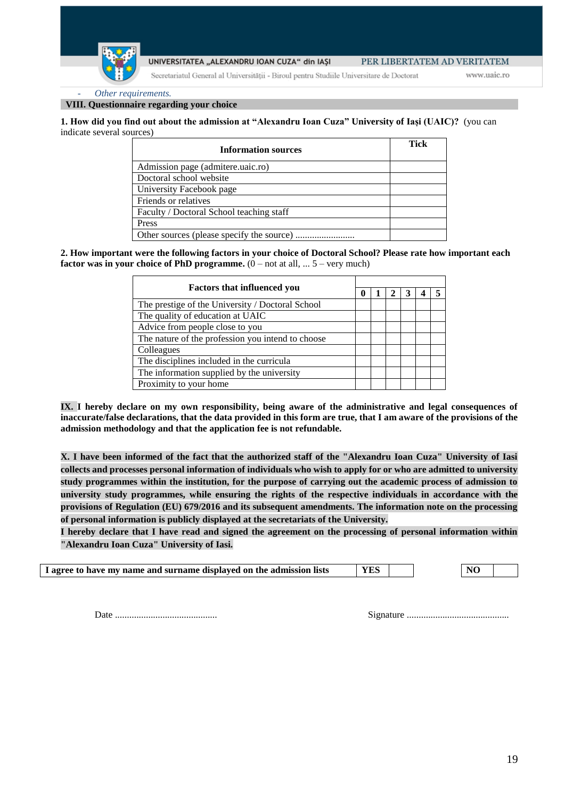Secretariatul General al Universității - Biroul pentru Studiile Universitare de Doctorat

www.uaic.ro

- *Other requirements.*

**VIII. Questionnaire regarding your choice**

**1. How did you find out about the admission at "Alexandru Ioan Cuza" University of Iași (UAIC)?** (you can indicate several sources)

| <b>Information sources</b>               | Tick |
|------------------------------------------|------|
| Admission page (admitere.uaic.ro)        |      |
| Doctoral school website                  |      |
| University Facebook page                 |      |
| Friends or relatives                     |      |
| Faculty / Doctoral School teaching staff |      |
| Press                                    |      |
|                                          |      |

**2. How important were the following factors in your choice of Doctoral School? Please rate how important each factor was in your choice of PhD programme.**  $(0 - not at all, ... 5 - very much)$ 

| <b>Factors that influenced you</b>                |  |  |  |  |
|---------------------------------------------------|--|--|--|--|
| The prestige of the University / Doctoral School  |  |  |  |  |
| The quality of education at UAIC                  |  |  |  |  |
| Advice from people close to you                   |  |  |  |  |
| The nature of the profession you intend to choose |  |  |  |  |
| Colleagues                                        |  |  |  |  |
| The disciplines included in the curricula         |  |  |  |  |
| The information supplied by the university        |  |  |  |  |
| Proximity to your home                            |  |  |  |  |

**IX. I hereby declare on my own responsibility, being aware of the administrative and legal consequences of inaccurate/false declarations, that the data provided in this form are true, that I am aware of the provisions of the admission methodology and that the application fee is not refundable.**

**X. I have been informed of the fact that the authorized staff of the "Alexandru Ioan Cuza" University of Iasi collects and processes personal information of individuals who wish to apply for or who are admitted to university study programmes within the institution, for the purpose of carrying out the academic process of admission to university study programmes, while ensuring the rights of the respective individuals in accordance with the provisions of Regulation (EU) 679/2016 and its subsequent amendments. The information note on the processing of personal information is publicly displayed at the secretariats of the University.**

**I hereby declare that I have read and signed the agreement on the processing of personal information within "Alexandru Ioan Cuza" University of Iasi.**

| I agree to have my name and surname displayed on the admission lists | <b>YES</b> |  |  | N <sub>O</sub> |
|----------------------------------------------------------------------|------------|--|--|----------------|
|----------------------------------------------------------------------|------------|--|--|----------------|

Date ........................................... Signature ...........................................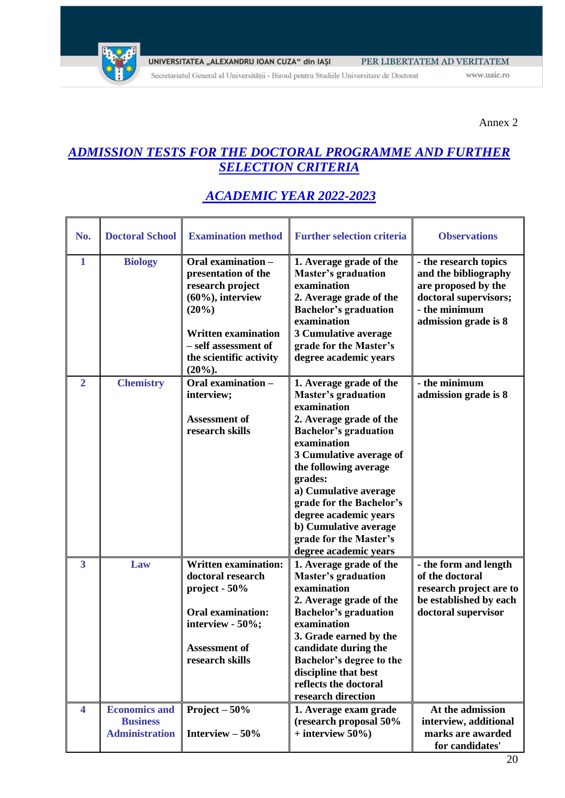

www.uaic.ro

Annex 2

# *ADMISSION TESTS FOR THE DOCTORAL PROGRAMME AND FURTHER SELECTION CRITERIA*

| No.                     | <b>Doctoral School</b>                                           | <b>Examination method</b>                                                                                                                                                                    | <b>Further selection criteria</b>                                                                                                                                                                                                                                                                                                                                       | <b>Observations</b>                                                                                                                    |
|-------------------------|------------------------------------------------------------------|----------------------------------------------------------------------------------------------------------------------------------------------------------------------------------------------|-------------------------------------------------------------------------------------------------------------------------------------------------------------------------------------------------------------------------------------------------------------------------------------------------------------------------------------------------------------------------|----------------------------------------------------------------------------------------------------------------------------------------|
| $\mathbf{1}$            | <b>Biology</b>                                                   | Oral examination -<br>presentation of the<br>research project<br>$(60\%)$ , interview<br>(20%)<br><b>Written examination</b><br>- self assessment of<br>the scientific activity<br>$(20\%).$ | 1. Average grade of the<br><b>Master's graduation</b><br>examination<br>2. Average grade of the<br><b>Bachelor's graduation</b><br>examination<br>3 Cumulative average<br>grade for the Master's<br>degree academic years                                                                                                                                               | - the research topics<br>and the bibliography<br>are proposed by the<br>doctoral supervisors;<br>- the minimum<br>admission grade is 8 |
| $\overline{2}$          | <b>Chemistry</b>                                                 | Oral examination -<br>interview;<br><b>Assessment of</b><br>research skills                                                                                                                  | 1. Average grade of the<br><b>Master's graduation</b><br>examination<br>2. Average grade of the<br><b>Bachelor's graduation</b><br>examination<br>3 Cumulative average of<br>the following average<br>grades:<br>a) Cumulative average<br>grade for the Bachelor's<br>degree academic years<br>b) Cumulative average<br>grade for the Master's<br>degree academic years | - the minimum<br>admission grade is 8                                                                                                  |
| $\overline{\mathbf{3}}$ | Law                                                              | <b>Written examination:</b><br>doctoral research<br>project - 50%<br><b>Oral examination:</b><br>interview - 50%;<br><b>Assessment of</b><br>research skills                                 | 1. Average grade of the<br><b>Master's graduation</b><br>examination<br>2. Average grade of the<br><b>Bachelor's graduation</b><br>examination<br>3. Grade earned by the<br>candidate during the<br>Bachelor's degree to the<br>discipline that best<br>reflects the doctoral<br>research direction                                                                     | - the form and length<br>of the doctoral<br>research project are to<br>be established by each<br>doctoral supervisor                   |
| $\overline{\mathbf{4}}$ | <b>Economics and</b><br><b>Business</b><br><b>Administration</b> | Project $-50%$<br>Interview $-50\%$                                                                                                                                                          | 1. Average exam grade<br>(research proposal 50%<br>$+$ interview 50%)                                                                                                                                                                                                                                                                                                   | At the admission<br>interview, additional<br>marks are awarded<br>for candidates'                                                      |

# *ACADEMIC YEAR 2022-2023*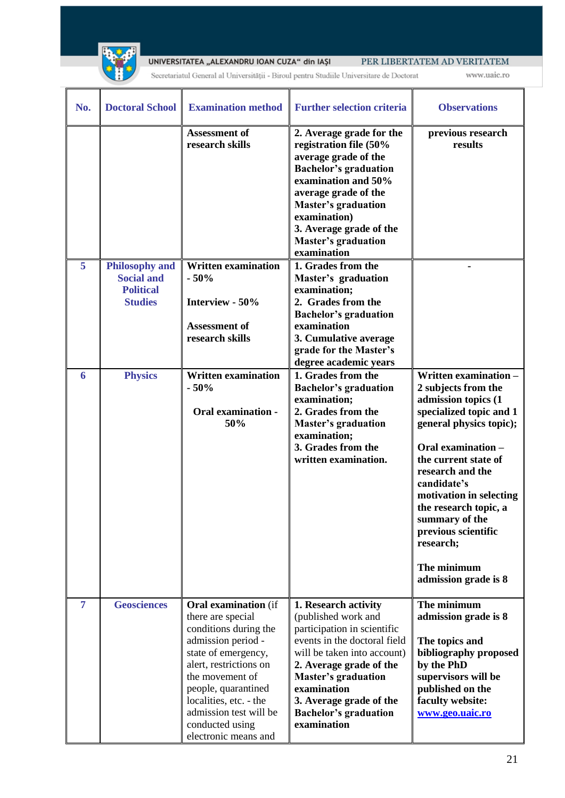

Secretariatul General al Universității - Biroul pentru Studiile Universitare de Doctorat

| No.            | <b>Doctoral School</b>                                                           | <b>Examination method</b>                                                                                                                                                                                                                                                                 | <b>Further selection criteria</b>                                                                                                                                                                                                                                                           | <b>Observations</b>                                                                                                                                                                                                                                                                                                                                         |
|----------------|----------------------------------------------------------------------------------|-------------------------------------------------------------------------------------------------------------------------------------------------------------------------------------------------------------------------------------------------------------------------------------------|---------------------------------------------------------------------------------------------------------------------------------------------------------------------------------------------------------------------------------------------------------------------------------------------|-------------------------------------------------------------------------------------------------------------------------------------------------------------------------------------------------------------------------------------------------------------------------------------------------------------------------------------------------------------|
|                |                                                                                  | <b>Assessment of</b><br>research skills                                                                                                                                                                                                                                                   | 2. Average grade for the<br>registration file (50%<br>average grade of the<br><b>Bachelor's graduation</b><br>examination and 50%<br>average grade of the<br><b>Master's graduation</b><br>examination)<br>3. Average grade of the<br><b>Master's graduation</b><br>examination             | previous research<br>results                                                                                                                                                                                                                                                                                                                                |
| $\overline{5}$ | <b>Philosophy and</b><br><b>Social and</b><br><b>Political</b><br><b>Studies</b> | <b>Written examination</b><br>$-50%$<br>Interview - 50%<br><b>Assessment of</b><br>research skills                                                                                                                                                                                        | 1. Grades from the<br>Master's graduation<br>examination;<br>2. Grades from the<br><b>Bachelor's graduation</b><br>examination<br>3. Cumulative average<br>grade for the Master's<br>degree academic years                                                                                  |                                                                                                                                                                                                                                                                                                                                                             |
| 6              | <b>Physics</b>                                                                   | <b>Written examination</b><br>$-50%$<br><b>Oral examination -</b><br>50%                                                                                                                                                                                                                  | 1. Grades from the<br><b>Bachelor's graduation</b><br>examination;<br>2. Grades from the<br><b>Master's graduation</b><br>examination;<br>3. Grades from the<br>written examination.                                                                                                        | Written examination -<br>2 subjects from the<br>admission topics (1<br>specialized topic and 1<br>general physics topic);<br>Oral examination -<br>the current state of<br>research and the<br>candidate's<br>motivation in selecting<br>the research topic, a<br>summary of the<br>previous scientific<br>research;<br>The minimum<br>admission grade is 8 |
| $\overline{7}$ | <b>Geosciences</b>                                                               | <b>Oral examination</b> (if<br>there are special<br>conditions during the<br>admission period -<br>state of emergency,<br>alert, restrictions on<br>the movement of<br>people, quarantined<br>localities, etc. - the<br>admission test will be<br>conducted using<br>electronic means and | 1. Research activity<br>(published work and<br>participation in scientific<br>events in the doctoral field<br>will be taken into account)<br>2. Average grade of the<br><b>Master's graduation</b><br>examination<br>3. Average grade of the<br><b>Bachelor's graduation</b><br>examination | The minimum<br>admission grade is 8<br>The topics and<br>bibliography proposed<br>by the PhD<br>supervisors will be<br>published on the<br>faculty website:<br>www.geo.uaic.ro                                                                                                                                                                              |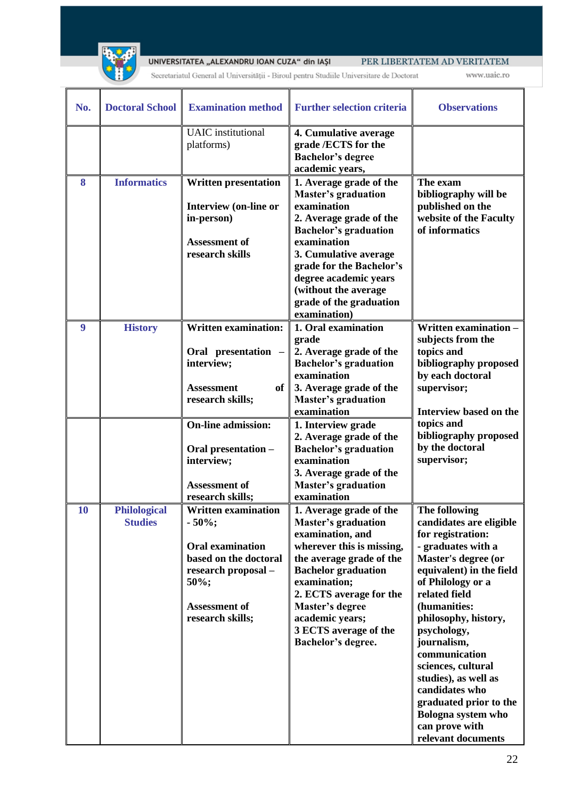

Secretariatul General al Universității - Biroul pentru Studiile Universitare de Doctorat

| No.       | <b>Doctoral School</b>                | <b>Examination method</b>                                                                                                                                      | <b>Further selection criteria</b>                                                                                                                                                                                                                                                                | <b>Observations</b>                                                                                                                                                                                                                                                                                                                                                                                                         |
|-----------|---------------------------------------|----------------------------------------------------------------------------------------------------------------------------------------------------------------|--------------------------------------------------------------------------------------------------------------------------------------------------------------------------------------------------------------------------------------------------------------------------------------------------|-----------------------------------------------------------------------------------------------------------------------------------------------------------------------------------------------------------------------------------------------------------------------------------------------------------------------------------------------------------------------------------------------------------------------------|
|           |                                       | <b>UAIC</b> institutional<br>platforms)                                                                                                                        | 4. Cumulative average<br>grade /ECTS for the<br><b>Bachelor's degree</b><br>academic years,                                                                                                                                                                                                      |                                                                                                                                                                                                                                                                                                                                                                                                                             |
| 8         | <b>Informatics</b>                    | <b>Written presentation</b><br><b>Interview (on-line or</b><br>in-person)<br><b>Assessment of</b><br>research skills                                           | 1. Average grade of the<br><b>Master's graduation</b><br>examination<br>2. Average grade of the<br><b>Bachelor's graduation</b><br>examination<br>3. Cumulative average<br>grade for the Bachelor's<br>degree academic years<br>(without the average<br>grade of the graduation<br>examination)  | The exam<br>bibliography will be<br>published on the<br>website of the Faculty<br>of informatics                                                                                                                                                                                                                                                                                                                            |
| 9         | <b>History</b>                        | <b>Written examination:</b><br>Oral presentation -<br>interview;<br><b>Assessment</b><br>of<br>research skills;                                                | 1. Oral examination<br>grade<br>2. Average grade of the<br><b>Bachelor's graduation</b><br>examination<br>3. Average grade of the<br><b>Master's graduation</b><br>examination                                                                                                                   | Written examination -<br>subjects from the<br>topics and<br>bibliography proposed<br>by each doctoral<br>supervisor;<br>Interview based on the                                                                                                                                                                                                                                                                              |
|           |                                       | <b>On-line admission:</b><br>Oral presentation -<br>interview;<br><b>Assessment of</b><br>research skills;                                                     | 1. Interview grade<br>2. Average grade of the<br><b>Bachelor's graduation</b><br>examination<br>3. Average grade of the<br><b>Master's graduation</b><br>examination                                                                                                                             | topics and<br>bibliography proposed<br>by the doctoral<br>supervisor;                                                                                                                                                                                                                                                                                                                                                       |
| <b>10</b> | <b>Philological</b><br><b>Studies</b> | <b>Written examination</b><br>$-50\%;$<br><b>Oral examination</b><br>based on the doctoral<br>research proposal -<br>50%;<br>Assessment of<br>research skills; | 1. Average grade of the<br><b>Master's graduation</b><br>examination, and<br>wherever this is missing,<br>the average grade of the<br><b>Bachelor</b> graduation<br>examination;<br>2. ECTS average for the<br>Master's degree<br>academic years;<br>3 ECTS average of the<br>Bachelor's degree. | The following<br>candidates are eligible<br>for registration:<br>- graduates with a<br>Master's degree (or<br>equivalent) in the field<br>of Philology or a<br>related field<br>(humanities:<br>philosophy, history,<br>psychology,<br>journalism,<br>communication<br>sciences, cultural<br>studies), as well as<br>candidates who<br>graduated prior to the<br>Bologna system who<br>can prove with<br>relevant documents |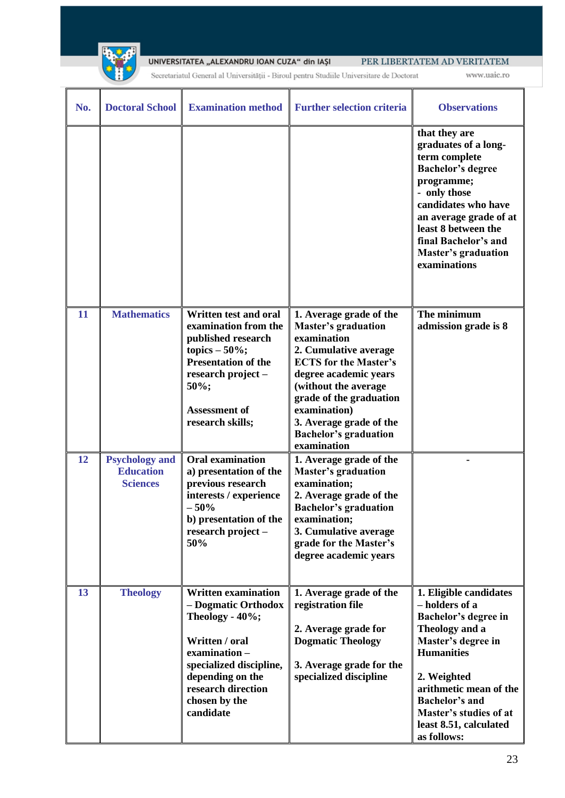

Secretariatul General al Universității - Biroul pentru Studiile Universitare de Doctorat

| No. | <b>Doctoral School</b>                                       | <b>Examination method</b>                                                                                                                                                                                 | <b>Further selection criteria</b>                                                                                                                                                                                                                                                                   | <b>Observations</b>                                                                                                                                                                                                                                                |
|-----|--------------------------------------------------------------|-----------------------------------------------------------------------------------------------------------------------------------------------------------------------------------------------------------|-----------------------------------------------------------------------------------------------------------------------------------------------------------------------------------------------------------------------------------------------------------------------------------------------------|--------------------------------------------------------------------------------------------------------------------------------------------------------------------------------------------------------------------------------------------------------------------|
|     |                                                              |                                                                                                                                                                                                           |                                                                                                                                                                                                                                                                                                     | that they are<br>graduates of a long-<br>term complete<br><b>Bachelor's degree</b><br>programme;<br>- only those<br>candidates who have<br>an average grade of at<br>least 8 between the<br>final Bachelor's and<br><b>Master's graduation</b><br>examinations     |
| 11  | <b>Mathematics</b>                                           | <b>Written test and oral</b><br>examination from the<br>published research<br>topics $-50\%$ ;<br><b>Presentation of the</b><br>research project -<br>50%;<br><b>Assessment of</b><br>research skills;    | 1. Average grade of the<br><b>Master's graduation</b><br>examination<br>2. Cumulative average<br><b>ECTS</b> for the Master's<br>degree academic years<br>(without the average<br>grade of the graduation<br>examination)<br>3. Average grade of the<br><b>Bachelor's graduation</b><br>examination | The minimum<br>admission grade is 8                                                                                                                                                                                                                                |
| 12  | <b>Psychology and</b><br><b>Education</b><br><b>Sciences</b> | <b>Oral examination</b><br>a) presentation of the<br>previous research<br>interests / experience<br>$-50%$<br>b) presentation of the<br>research project -<br>50%                                         | 1. Average grade of the<br><b>Master's graduation</b><br>examination;<br>2. Average grade of the<br><b>Bachelor's graduation</b><br>examination;<br>3. Cumulative average<br>grade for the Master's<br>degree academic years                                                                        |                                                                                                                                                                                                                                                                    |
| 13  | <b>Theology</b>                                              | <b>Written examination</b><br>- Dogmatic Orthodox<br>Theology - 40%;<br>Written / oral<br>examination-<br>specialized discipline,<br>depending on the<br>research direction<br>chosen by the<br>candidate | 1. Average grade of the<br>registration file<br>2. Average grade for<br><b>Dogmatic Theology</b><br>3. Average grade for the<br>specialized discipline                                                                                                                                              | 1. Eligible candidates<br>- holders of a<br>Bachelor's degree in<br>Theology and a<br>Master's degree in<br><b>Humanities</b><br>2. Weighted<br>arithmetic mean of the<br><b>Bachelor's and</b><br>Master's studies of at<br>least 8.51, calculated<br>as follows: |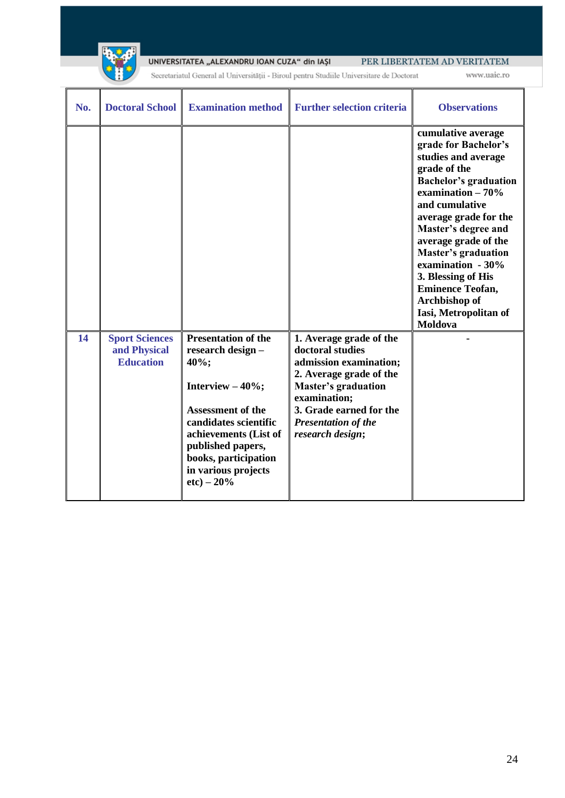

Secretariatul General al Universității - Biroul pentru Studiile Universitare de Doctorat

www.uaic.ro

| No. | <b>Doctoral School</b>                                    | <b>Examination method</b>                                                                                                                                                       | <b>Further selection criteria</b>                                                                                       | <b>Observations</b>                                                                                                                                                                                                                                                                                                                                                                        |
|-----|-----------------------------------------------------------|---------------------------------------------------------------------------------------------------------------------------------------------------------------------------------|-------------------------------------------------------------------------------------------------------------------------|--------------------------------------------------------------------------------------------------------------------------------------------------------------------------------------------------------------------------------------------------------------------------------------------------------------------------------------------------------------------------------------------|
| 14  | <b>Sport Sciences</b><br>and Physical<br><b>Education</b> | <b>Presentation of the</b><br>research design -<br>40%;                                                                                                                         | 1. Average grade of the<br>doctoral studies<br>admission examination;<br>2. Average grade of the                        | cumulative average<br>grade for Bachelor's<br>studies and average<br>grade of the<br><b>Bachelor's graduation</b><br>examination $-70%$<br>and cumulative<br>average grade for the<br>Master's degree and<br>average grade of the<br><b>Master's graduation</b><br>examination - 30%<br>3. Blessing of His<br><b>Eminence Teofan,</b><br>Archbishop of<br>Iasi, Metropolitan of<br>Moldova |
|     |                                                           | Interview $-40\%$ ;<br>Assessment of the<br>candidates scientific<br>achievements (List of<br>published papers,<br>books, participation<br>in various projects<br>$etc$ ) – 20% | <b>Master's graduation</b><br>examination;<br>3. Grade earned for the<br><b>Presentation of the</b><br>research design; |                                                                                                                                                                                                                                                                                                                                                                                            |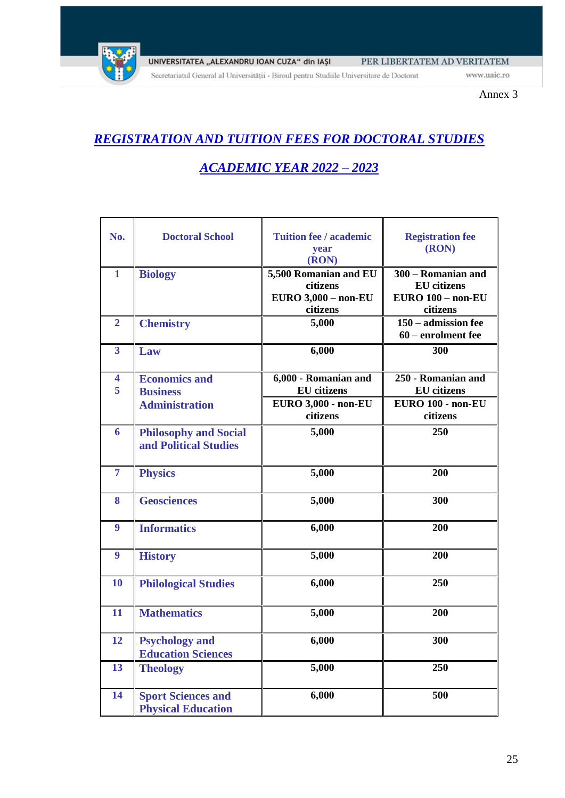

Secretariatul General al Universității - Biroul pentru Studiile Universitare de Doctorat

Annex 3

# *REGISTRATION AND TUITION FEES FOR DOCTORAL STUDIES*

# *ACADEMIC YEAR 2022 – 2023*

| No.                          | <b>Doctoral School</b>                                           | <b>Tuition fee / academic</b><br>year<br>(RON)                                       | <b>Registration fee</b><br>(RON)                                          |
|------------------------------|------------------------------------------------------------------|--------------------------------------------------------------------------------------|---------------------------------------------------------------------------|
| $\mathbf{1}$                 | <b>Biology</b>                                                   | 5,500 Romanian and EU<br>citizens<br><b>EURO 3,000 - non-EU</b><br>citizens          | 300 - Romanian and<br><b>EU</b> citizens<br>EURO 100 - non-EU<br>citizens |
| $\overline{2}$               | <b>Chemistry</b>                                                 | 5,000                                                                                | 150 – admission fee<br>60 – enrolment fee                                 |
| $\overline{\mathbf{3}}$      | Law                                                              | 6,000                                                                                | 300                                                                       |
| $\overline{\mathbf{4}}$<br>5 | <b>Economics and</b><br><b>Business</b><br><b>Administration</b> | 6,000 - Romanian and<br><b>EU</b> citizens<br><b>EURO 3,000 - non-EU</b><br>citizens | 250 - Romanian and<br><b>EU</b> citizens<br>EURO 100 - non-EU<br>citizens |
| 6                            | <b>Philosophy and Social</b><br>and Political Studies            | 5,000                                                                                | 250                                                                       |
| 7                            | <b>Physics</b>                                                   | 5,000                                                                                | 200                                                                       |
| 8                            | <b>Geosciences</b>                                               | 5,000                                                                                | 300                                                                       |
| 9                            | <b>Informatics</b>                                               | 6,000                                                                                | 200                                                                       |
| 9                            | <b>History</b>                                                   | 5,000                                                                                | 200                                                                       |
| 10                           | <b>Philological Studies</b>                                      | 6,000                                                                                | 250                                                                       |
| 11                           | <b>Mathematics</b>                                               | 5,000                                                                                | 200                                                                       |
| 12                           | <b>Psychology and</b><br><b>Education Sciences</b>               | 6,000                                                                                | 300                                                                       |
| 13                           | <b>Theology</b>                                                  | 5,000                                                                                | 250                                                                       |
| 14                           | <b>Sport Sciences and</b><br><b>Physical Education</b>           | 6,000                                                                                | 500                                                                       |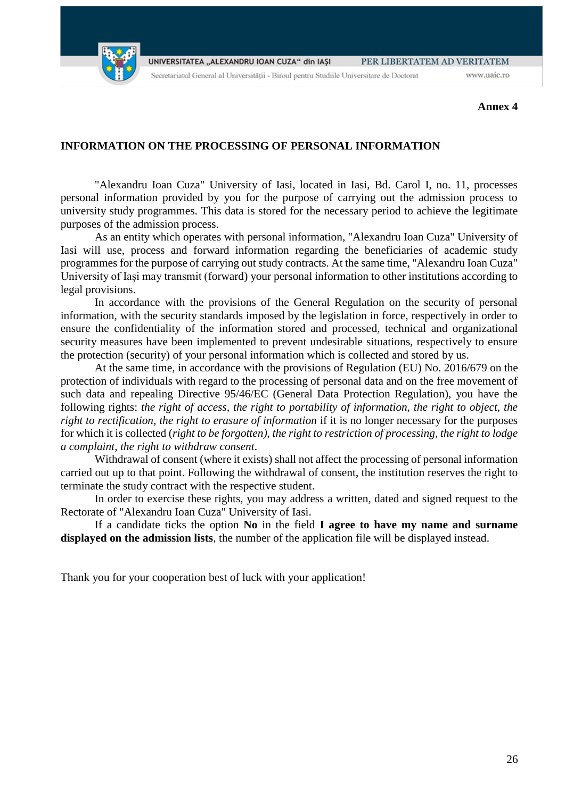

UNIVERSITATEA "ALEXANDRU IOAN CUZA" din IASI PER LIBERTATEM AD VERITATEM Secretariatul General al Universității - Biroul pentru Studiile Universitare de Doctorat www.uaic.ro

**Annex 4**

### **INFORMATION ON THE PROCESSING OF PERSONAL INFORMATION**

"Alexandru Ioan Cuza" University of Iasi, located in Iasi, Bd. Carol I, no. 11, processes personal information provided by you for the purpose of carrying out the admission process to university study programmes. This data is stored for the necessary period to achieve the legitimate purposes of the admission process.

As an entity which operates with personal information, "Alexandru Ioan Cuza" University of Iasi will use, process and forward information regarding the beneficiaries of academic study programmes for the purpose of carrying out study contracts. At the same time, "Alexandru Ioan Cuza" University of Iași may transmit (forward) your personal information to other institutions according to legal provisions.

In accordance with the provisions of the General Regulation on the security of personal information, with the security standards imposed by the legislation in force, respectively in order to ensure the confidentiality of the information stored and processed, technical and organizational security measures have been implemented to prevent undesirable situations, respectively to ensure the protection (security) of your personal information which is collected and stored by us.

At the same time, in accordance with the provisions of Regulation (EU) No. 2016/679 on the protection of individuals with regard to the processing of personal data and on the free movement of such data and repealing Directive 95/46/EC (General Data Protection Regulation), you have the following rights: *the right of access, the right to portability of information, the right to object, the right to rectification, the right to erasure of information* if it is no longer necessary for the purposes for which it is collected (*right to be forgotten), the right to restriction of processing, the right to lodge a complaint, the right to withdraw consent*.

Withdrawal of consent (where it exists) shall not affect the processing of personal information carried out up to that point. Following the withdrawal of consent, the institution reserves the right to terminate the study contract with the respective student.

In order to exercise these rights, you may address a written, dated and signed request to the Rectorate of "Alexandru Ioan Cuza" University of Iasi.

If a candidate ticks the option **No** in the field **I agree to have my name and surname displayed on the admission lists**, the number of the application file will be displayed instead.

Thank you for your cooperation best of luck with your application!